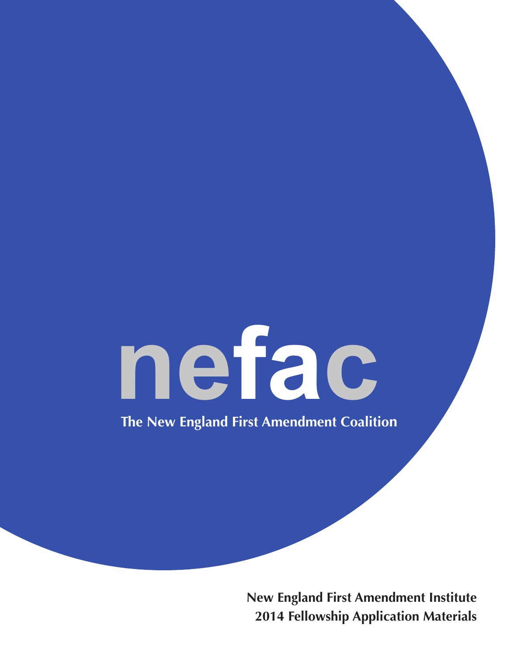# nefac

The New England First Amendment Coalition

**New England First Amendment Institute 2014 Fellowship Application Materials**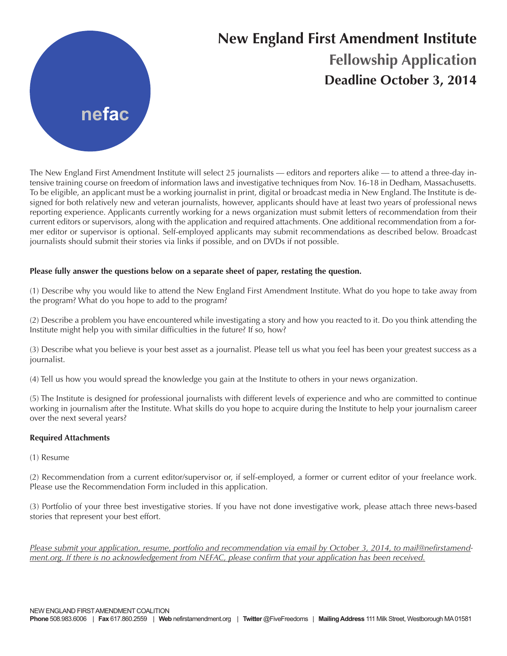

### **New England First Amendment Institute Fellowship Application Deadline October 3, 2014**

The New England First Amendment Institute will select 25 journalists — editors and reporters alike — to attend a three-day intensive training course on freedom of information laws and investigative techniques from Nov. 16-18 in Dedham, Massachusetts. To be eligible, an applicant must be a working journalist in print, digital or broadcast media in New England. The Institute is designed for both relatively new and veteran journalists, however, applicants should have at least two years of professional news reporting experience. Applicants currently working for a news organization must submit letters of recommendation from their current editors or supervisors, along with the application and required attachments. One additional recommendation from a former editor or supervisor is optional. Self-employed applicants may submit recommendations as described below. Broadcast journalists should submit their stories via links if possible, and on DVDs if not possible.

#### **Please fully answer the questions below on a separate sheet of paper, restating the question.**

(1) Describe why you would like to attend the New England First Amendment Institute. What do you hope to take away from the program? What do you hope to add to the program?

(2) Describe a problem you have encountered while investigating a story and how you reacted to it. Do you think attending the Institute might help you with similar difficulties in the future? If so, how?

(3) Describe what you believe is your best asset as a journalist. Please tell us what you feel has been your greatest success as a journalist.

(4) Tell us how you would spread the knowledge you gain at the Institute to others in your news organization.

(5) The Institute is designed for professional journalists with different levels of experience and who are committed to continue working in journalism after the Institute. What skills do you hope to acquire during the Institute to help your journalism career over the next several years?

#### **Required Attachments**

(1) Resume

(2) Recommendation from a current editor/supervisor or, if self-employed, a former or current editor of your freelance work. Please use the Recommendation Form included in this application.

(3) Portfolio of your three best investigative stories. If you have not done investigative work, please attach three news-based stories that represent your best effort.

Please submit your application, resume, portfolio and recommendation via email by October 3, 2014, to mail@nefirstamend*ment.org. If there is no acknowledgement from NEFAC, please confirm that your application has been received.*